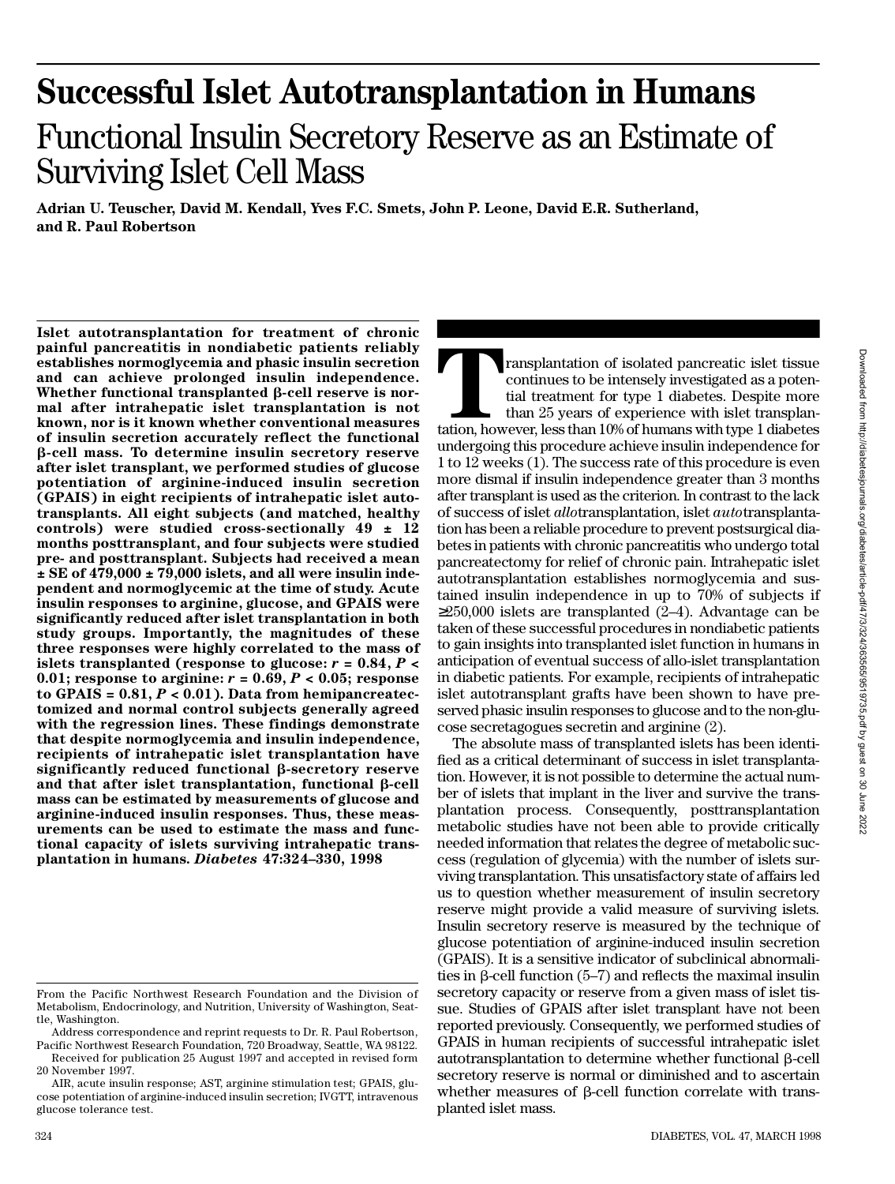# **Successful Islet Autotransplantation in Humans** Functional Insulin Secretory Reserve as an Estimate of Surviving Islet Cell Mass

Adrian U. Teuscher, David M. Kendall, Yves F.C. Smets, John P. Leone, David E.R. Sutherland, **and R. Paul Robertson**

**Islet autotransplantation for treatment of chronic painful pancreatitis in nondiabetic patients reliably establishes normoglycemia and phasic insulin secretion and can achieve prolonged insulin independence. Whether functional transplanted** b**-cell reserve is normal after intrahepatic islet transplantation is not known, nor is it known whether conventional measures of insulin secretion accurately reflect the functional** b**-cell mass. To determine insulin secretory reserve after islet transplant, we performed studies of glucose potentiation of arginine-induced insulin secretion ( G PAIS) in eight recipients of intrahepatic islet autotransplants. All eight subjects (and matched, healthy controls) were studied cross-sectionally 49 ± 12 months posttransplant, and four subjects were studied pre- and posttransplant. Subjects had received a mean ± SE of 479,000 ± 79,000 islets, and all were insulin independent and normoglycemic at the time of study. Acute insulin responses to arginine, glucose, and GPAIS were significantly reduced after islet transplantation in both study groups. Importantly, the magnitudes of these three responses were highly correlated to the mass of islets transplanted (response to glucose:** *r* **= 0.84,** *P* **<** 0.01; response to arginine:  $r = 0.69$ ,  $P < 0.05$ ; response **to GPAIS = 0.81,** *P* **< 0.01). Data from hemipancreatectomized and normal control subjects generally agreed with the regression lines. These findings demonstrate that despite normoglycemia and insulin independence, recipients of intrahepatic islet transplantation have significantly reduced functional** b**-secretory reserve** and that after islet transplantation, functional  $\beta$ -cell **mass can be estimated by measurements of glucose and arginine-induced insulin responses. Thus, these measurements can be used to estimate the mass and functional capacity of islets surviving intrahepatic transplantation in humans.** *D i a b e t e s* **47:324–330, 1998**

Transplantation of isolated pancreatic islet tissue continues to be intensely investigated as a potential treatment for type 1 diabetes. Despite more than 25 years of experience with islet transplantation, however, less th ransplantation of isolated pancreatic islet tissue continues to be intensely investigated as a potential treatment for type 1 diabetes. Despite more than 25 years of experience with islet transplanundergoing this procedure achieve insulin independence for 1 to 12 weeks (1). The success rate of this procedure is even more dismal if insulin independence greater than 3 months after transplant is used as the criterion. In contrast to the lack of success of islet *allotransplantation*, islet *autotransplanta*tion has been a reliable procedure to prevent postsurgical diabetes in patients with chronic pancreatitis who undergo total pancreatectomy for relief of chronic pain. Intrahepatic islet autotransplantation establishes normoglycemia and sustained insulin independence in up to 70% of subjects if

250,000 islets are transplanted (2–4). Advantage can be taken of these successful procedures in nondiabetic patients to gain insights into transplanted islet function in humans in anticipation of eventual success of allo-islet transplantation in diabetic patients. For example, recipients of intrahepatic islet autotransplant grafts have been shown to have preserved phasic insulin responses to glucose and to the non-glucose secretagogues secretin and arginine (2).

The absolute mass of transplanted islets has been identified as a critical determinant of success in islet transplantation. However, it is not possible to determine the actual number of islets that implant in the liver and survive the transplantation process. Consequently, posttransplantation metabolic studies have not been able to provide critically needed information that relates the degree of metabolic success (regulation of glycemia) with the number of islets surviving transplantation. This unsatisfactory state of affairs led us to question whether measurement of insulin secretory reserve might provide a valid measure of surviving islets. Insulin secretory reserve is measured by the technique of glucose potentiation of arginine-induced insulin secretion (GPAIS). It is a sensitive indicator of subclinical abnormalities in  $\beta$ -cell function (5–7) and reflects the maximal insulin secretory capacity or reserve from a given mass of islet tissue. Studies of GPAIS after islet transplant have not been reported previously. Consequently, we performed studies of G PAIS in human recipients of successful intrahepatic islet autotransplantation to determine whether functional  $\beta$ -cell secretory reserve is normal or diminished and to ascertain whether measures of  $\beta$ -cell function correlate with transplanted islet mass.

From the Pacific Northwest Research Foundation and the Division of Metabolism, Endocrinology, and Nutrition, University of Washington, Seattle, Washington.

Address correspondence and reprint requests to Dr. R. Paul Robertson, Pacific Northwest Research Foundation, 720 Broadway, Seattle, WA 98122.

Received for publication 25 August 1997 and accepted in revised form 20 November 1997.

AIR, acute insulin response; AST, arginine stimulation test; GPAIS, glucose potentiation of arginine-induced insulin secretion; IVGTT, intravenous glucose tolerance test.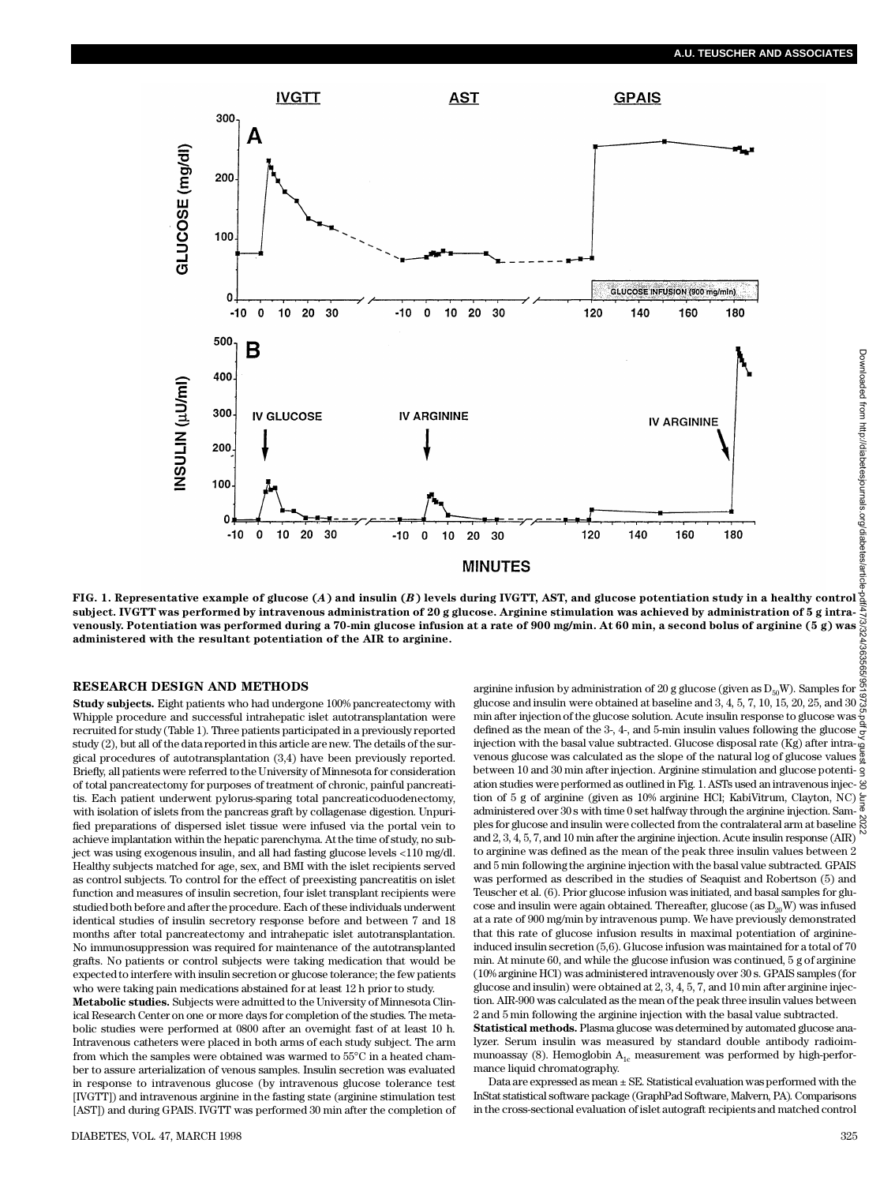#### **A.U. TEUSCHER AND ASSOCIATES**



**FIG. 1. Representative example of glucose (***A***) and insulin (***B***) levels during IVGTT, AST, and glucose potentiation study in a healthy control subject. IVGTT was performed by intravenous administration of 20 g glucose. Arginine stimulation was achieved by administration of 5 g intrav e n o u s l y. Potentiation was performed during a 70-min glucose infusion at a rate of 900 mg/min. At 60 min, a second bolus of arginine (5 g) was administered with the resultant potentiation of the AIR to arginine.**

#### **RESEARCH DESIGN AND METHODS**

**Study subjects.** Eight patients who had undergone 100% pancreatectomy with Whipple procedure and successful intrahepatic islet autotransplantation were recruited for study (Table 1). Three patients participated in a previously reported study (2), but all of the data reported in this article are new. The details of the surgical procedures of autotransplantation (3,4) have been previously reported. Briefly, all patients were referred to the University of Minnesota for consideration of total pancreatectomy for purposes of treatment of chronic, painful pancreatitis. Each patient underwent pylorus-sparing total pancreaticoduodenectomy, with isolation of islets from the pancreas graft by collagenase digestion. Unpurified preparations of dispersed islet tissue were infused via the portal vein to achieve implantation within the hepatic parenchyma. At the time of study, no subject was using exogenous insulin, and all had fasting glucose levels <110 mg/dl. Healthy subjects matched for age, sex, and BMI with the islet recipients served as control subjects. To control for the effect of preexisting pancreatitis on islet function and measures of insulin secretion, four islet transplant recipients were studied both before and after the procedure. Each of these individuals underwent identical studies of insulin secretory response before and between 7 and 18 months after total pancreatectomy and intrahepatic islet autotransplantation. No immunosuppression was required for maintenance of the autotransplanted grafts. No patients or control subjects were taking medication that would be expected to interfere with insulin secretion or glucose tolerance; the few patients who were taking pain medications abstained for at least 12 h prior to study.

**Metabolic studies.** Subjects were admitted to the University of Minnesota Clinical Research Center on one or more days for completion of the studies. The metabolic studies were performed at 0800 after an overnight fast of at least 10 h. Intravenous catheters were placed in both arms of each study subject. The arm from which the samples were obtained was warmed to 55°C in a heated chamber to assure arterialization of venous samples. Insulin secretion was evaluated in response to intravenous glucose (by intravenous glucose tolerance test [IVGTT]) and intravenous arginine in the fasting state (arginine stimulation test [AST]) and during GPAIS. IVGTT was performed 30 min after the completion of

arginine infusion by administration of 20 g glucose (given as  $D_{50}$ W). Samples for glucose and insulin were obtained at baseline and  $3, 4, 5, 7, 10, 15, 20, 25,$  and  $30$ min after injection of the glucose solution. Acute insulin response to glucose was defined as the mean of the 3-, 4-, and 5-min insulin values following the glucose injection with the basal value subtracted. Glucose disposal rate (Kg) after intravenous glucose was calculated as the slope of the natural log of glucose values between 10 and 30 min after injection. Arginine stimulation and glucose potentiation studies were performed as outlined in Fig. 1. ASTs used an intravenous injection of 5 g of arginine (given as 10% arginine HCl; KabiVitrum, Clayton, NC) administered over 30 s with time 0 set halfway through the arginine injection. Samples for glucose and insulin were collected from the contralateral arm at baseline  $\frac{8}{6}$ and 2, 3, 4, 5, 7, and 10 min after the arginine injection. Acute insulin response (AIR) to arginine was defined as the mean of the peak three insulin values between 2 and 5 min following the arginine injection with the basal value subtracted. GPAIS was performed as described in the studies of Seaquist and Robertson (5) and Teuscher et al. (6). Prior glucose infusion was initiated, and basal samples for glucose and insulin were again obtained. Thereafter, glucose (as  $D_{20}$ W) was infused at a rate of 900 mg/min by intravenous pump. We have previously demonstrated that this rate of glucose infusion results in maximal potentiation of arginineinduced insulin secretion (5,6). Glucose infusion was maintained for a total of 70 min. At minute 60, and while the glucose infusion was continued, 5 g of arginine (10% arginine HCl) was administered intravenously over 30 s. GPAIS samples (for glucose and insulin) were obtained at 2, 3, 4, 5, 7, and 10 min after arginine injection. AIR-900 was calculated as the mean of the peak three insulin values between 2 and 5 min following the arginine injection with the basal value subtracted.

**Statistical methods.** Plasma glucose was determined by automated glucose analyzer. Serum insulin was measured by standard double antibody radioimmunoassay (8). Hemoglobin  $A_{1c}$  measurement was performed by high-performance liquid chromatography.

Data are expressed as mean ± SE. Statistical evaluation was performed with the InStat statistical software package (GraphPad Software, Malvern, PA). Comparisons in the cross-sectional evaluation of islet autograft recipients and matched control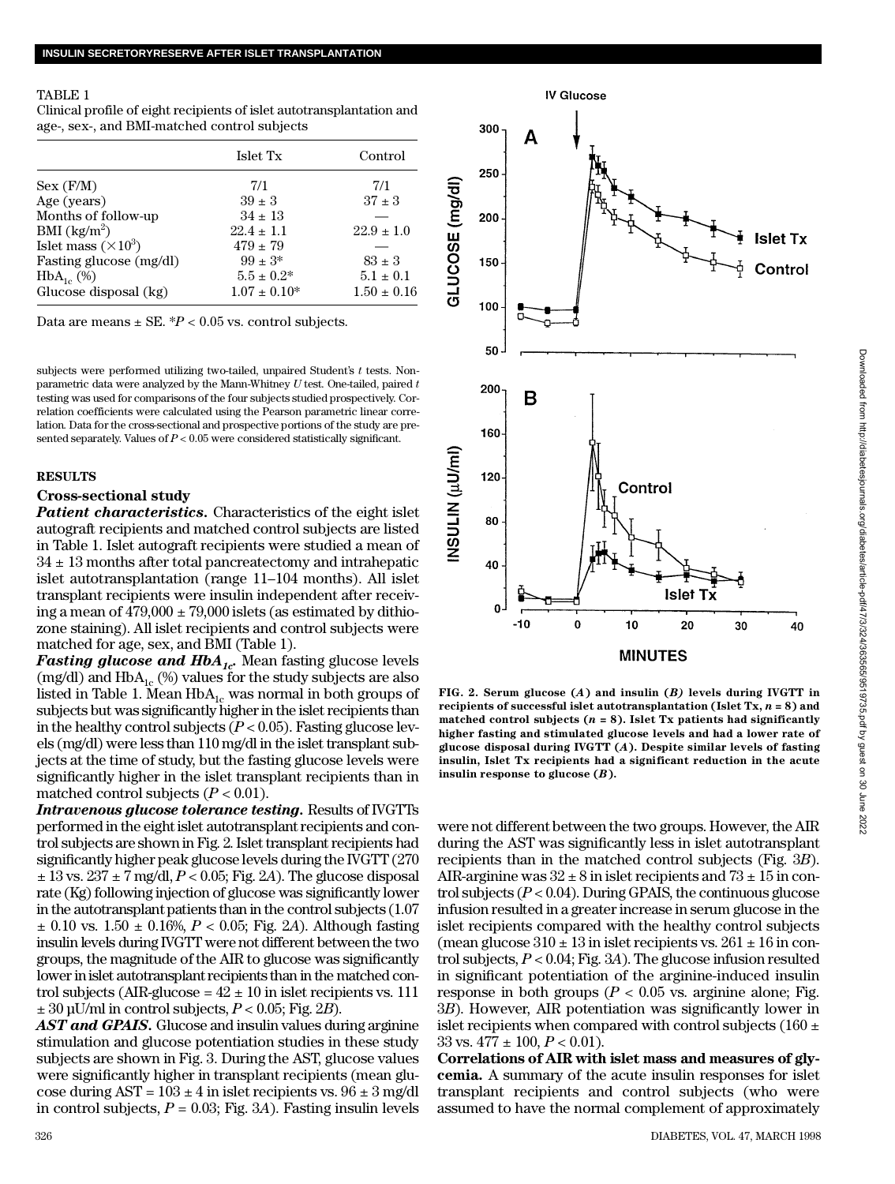## TABLE 1

Clinical profile of eight recipients of islet autotransplantation and age-, sex-, and BMI-matched control subjects

|                                   | Islet Tx          | Control         |
|-----------------------------------|-------------------|-----------------|
| Sex (F/M)                         | 7/1               | 7/1             |
| Age (years)                       | $39 \pm 3$        | $37 \pm 3$      |
| Months of follow-up               | $34 \pm 13$       |                 |
| BMI $\left(\frac{kg}{m^2}\right)$ | $22.4 \pm 1.1$    | $22.9 \pm 1.0$  |
| Islet mass $(\times 10^3)$        | $479 \pm 79$      |                 |
| Fasting glucose (mg/dl)           | $99 \pm 3*$       | $83 \pm 3$      |
| $HbA_{1c}$ (%)                    | $5.5 \pm 0.2^*$   | $5.1 \pm 0.1$   |
| Glucose disposal (kg)             | $1.07 \pm 0.10^*$ | $1.50 \pm 0.16$ |

Data are means  $\pm$  SE.  $^{*}P$  < 0.05 vs. control subjects.

subjects were performed utilizing two-tailed, unpaired Student's *t* tests. Nonparametric data were analyzed by the Mann-Whitney *U* test. One-tailed, paired *t* testing was used for comparisons of the four subjects studied prospectively. Correlation coefficients were calculated using the Pearson parametric linear correlation. Data for the cross-sectional and prospective portions of the study are presented separately. Values of  $P < 0.05$  were considered statistically significant.

### **R E S U LT S**

## **Cross-sectional study**

*Patient characteristics.* Characteristics of the eight islet autograft recipients and matched control subjects are listed in Table 1. Islet autograft recipients were studied a mean of  $34 \pm 13$  months after total pancreatectomy and intrahepatic islet autotransplantation (range 11–104 months). All islet transplant recipients were insulin independent after receiving a mean of  $479,000 \pm 79,000$  islets (as estimated by dithiozone staining). All islet recipients and control subjects were matched for age, sex, and BMI (Table 1).

*Fasting glucose and HbA*<sub>*1c*</sub>. Mean fasting glucose levels (mg/dl) and  $HbA_{1c}$  (%) values for the study subjects are also listed in Table 1. Mean  $HbA_{1c}$  was normal in both groups of subjects but was significantly higher in the islet recipients than in the healthy control subjects  $(P < 0.05)$ . Fasting glucose levels (mg/dl) were less than 110 mg/dl in the islet transplant subjects at the time of study, but the fasting glucose levels were significantly higher in the islet transplant recipients than in matched control subjects  $(P < 0.01)$ .

*Intravenous glucose tolerance testing.* Results of IVGTTs performed in the eight islet autotransplant recipients and control subjects are shown in Fig. 2. Islet transplant recipients had significantly higher peak glucose levels during the IVGTT (270) ± 13 vs. 237 ± 7 mg/dl, *P* < 0.05; Fig. 2*A*). The glucose disposal rate (Kg) following injection of glucose was significantly lower in the autotransplant patients than in the control subjects (1.07  $\pm$  0.10 vs. 1.50  $\pm$  0.16%, *P* < 0.05; Fig. 2*A*). Although fasting insulin levels during IVGTT were not different between the two groups, the magnitude of the AIR to glucose was significantly lower in islet autotransplant recipients than in the matched control subjects (AIR-glucose =  $42 \pm 10$  in islet recipients vs. 111  $\pm$  30 µU/ml in control subjects,  $P < 0.05$ ; Fig. 2*B*).

*AST and GPAIS.* Glucose and insulin values during arginine stimulation and glucose potentiation studies in these study subjects are shown in Fig. 3. During the AST, glucose values were significantly higher in transplant recipients (mean glucose during  $AST = 103 \pm 4$  in islet recipients vs.  $96 \pm 3$  mg/dl in control subjects,  $P = 0.03$ ; Fig. 3A). Fasting insulin levels



**IV Glucose** 

**FIG. 2. Serum glucose (***A***) and insulin (***B)* **levels during IVGTT in recipients of successful islet autotransplantation (Islet Tx,** *n* **= 8) and matched control subjects (***n* **= 8). Islet Tx patients had significantly higher fasting and stimulated glucose levels and had a lower rate of glucose disposal during IVGTT (***A***). Despite similar levels of fasting insulin, Islet Tx recipients had a significant reduction in the acute insulin response to glucose (***B***) .**

were not different between the two groups. However, the AIR during the AST was significantly less in islet autotransplant recipients than in the matched control subjects (Fig. 3*B*) . AIR-arginine was  $32 \pm 8$  in islet recipients and  $73 \pm 15$  in control subjects (*P* < 0.04). During GPAIS, the continuous glucose infusion resulted in a greater increase in serum glucose in the islet recipients compared with the healthy control subjects (mean glucose  $310 \pm 13$  in islet recipients vs.  $261 \pm 16$  in control subjects, *P* < 0.04; Fig. 3*A*). The glucose infusion resulted in significant potentiation of the arginine-induced insulin response in both groups ( $P < 0.05$  vs. arginine alone; Fig. 3*B*). However, AIR potentiation was significantly lower in islet recipients when compared with control subjects (160  $\pm$ 33 vs.  $477 \pm 100$ ,  $P < 0.01$ ).

**Correlations of AIR with islet mass and measures of glycemia.** A summary of the acute insulin responses for islet transplant recipients and control subjects (who were assumed to have the normal complement of approximately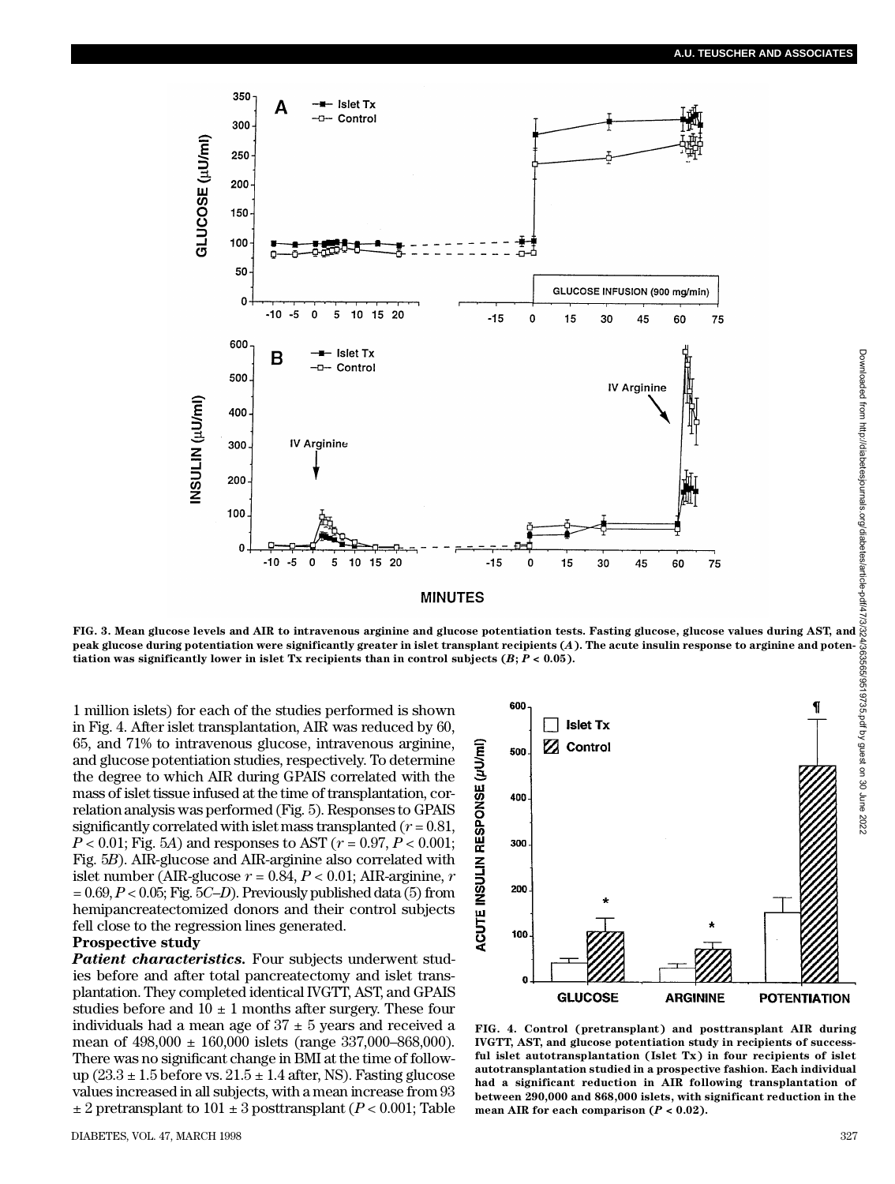

**FIG. 3. Mean glucose levels and AIR to intravenous arginine and glucose potentiation tests. Fasting glucose, glucose values during AST, and peak glucose during potentiation were significantly greater in islet transplant recipients (***A***). The acute insulin response to arginine and potentiation was significantly lower in islet Tx recipients than in control subjects**  $(B; P < 0.05)$ **.** 

1 million islets) for each of the studies performed is shown in Fig. 4. After islet transplantation, AIR was reduced by 60, 65, and 71% to intravenous glucose, intravenous arginine, and glucose potentiation studies, respectively. To determine the degree to which AIR during GPAIS correlated with the mass of islet tissue infused at the time of transplantation, correlation analysis was performed (Fig. 5). Responses to GPAIS significantly correlated with islet mass transplanted ( $r = 0.81$ , *P* < 0.01; Fig. 5*A*) and responses to AST (*r* = 0.97, *P* < 0.001; Fig. 5*B*). AIR-glucose and AIR-arginine also correlated with islet number (AIR-glucose  $r = 0.84, P < 0.01$ ; AIR-arginine,  $r$  $= 0.69, P < 0.05$ ; Fig. 5*C–D*). Previously published data (5) from hemipancreatectomized donors and their control subjects fell close to the regression lines generated.

# **Prospective study**

*Patient characteristics.* Four subjects underwent studies before and after total pancreatectomy and islet transplantation. They completed identical IVGTT, AST, and GPAIS studies before and  $10 \pm 1$  months after surgery. These four individuals had a mean age of  $37 \pm 5$  years and received a mean of 498,000 ± 160,000 islets (range 337,000–868,000). There was no significant change in BMI at the time of followup  $(23.3 \pm 1.5)$  before vs.  $21.5 \pm 1.4$  after, NS). Fasting glucose values increased in all subjects, with a mean increase from 93  $\pm 2$  pretransplant to 101  $\pm 3$  posttransplant (*P* < 0.001; Table



**FIG. 4. Control (pretransplant) and posttransplant AIR during IVGTT, AST, and glucose potentiation study in recipients of successful islet autotransplantation (Islet Tx) in four recipients of islet autotransplantation studied in a prospective fashion. Each individual had a significant reduction in AIR following transplantation of between 290,000 and 868,000 islets, with significant reduction in the mean AIR for each comparison (***P* **< 0.02).**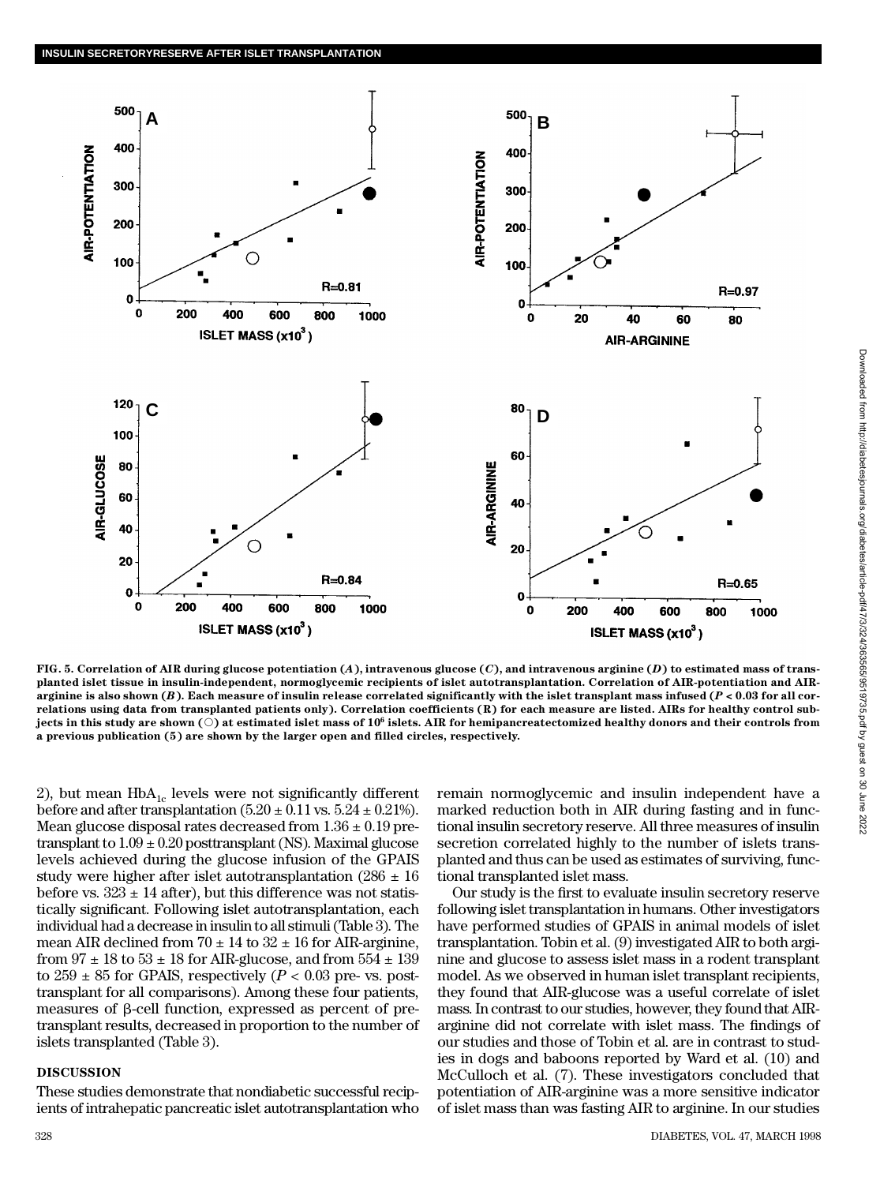

**FIG. 5. Correlation of AIR during glucose potentiation (***A***), intravenous glucose (***C***), and intravenous arginine (***D***) to estimated mass of transplanted islet tissue in insulin-independent, normoglycemic recipients of islet autotransplantation. Correlation of AIR-potentiation and AIRarginine is also shown (***B***). Each measure of insulin release correlated significantly with the islet transplant mass infused (***P* **< 0.03 for all correlations using data from transplanted patients only). Correlation coefficients (R) for each measure are listed. AIRs for healthy control sub-** ${\bf j}$ ects in this study are shown (  $\bigcirc$  ) at estimated islet mass of  ${\bf 10}^6$  islets. AIR for hemipancreatectomized healthy donors and their controls from **a previous publication (5) are shown by the larger open and filled circles, respectively.**

2), but mean  $HbA_{1c}$  levels were not significantly different before and after transplantation  $(5.20 \pm 0.11 \text{ vs. } 5.24 \pm 0.21\text{\%})$ . Mean glucose disposal rates decreased from  $1.36 \pm 0.19$  pretransplant to  $1.09 \pm 0.20$  posttransplant (NS). Maximal glucose levels achieved during the glucose infusion of the GPAIS study were higher after islet autotransplantation  $(286 \pm 16)$ before vs.  $323 \pm 14$  after), but this difference was not statistically significant. Following islet autotransplantation, each individual had a decrease in insulin to all stimuli (Table 3). The mean AIR declined from  $70 \pm 14$  to  $32 \pm 16$  for AIR-arginine, from  $97 \pm 18$  to  $53 \pm 18$  for AIR-glucose, and from  $554 \pm 139$ to  $259 \pm 85$  for GPAIS, respectively ( $P < 0.03$  pre- vs. posttransplant for all comparisons). Among these four patients, measures of b-cell function, expressed as percent of pretransplant results, decreased in proportion to the number of islets transplanted (Table 3).

# **DISCUSSION**

These studies demonstrate that nondiabetic successful recipients of intrahepatic pancreatic islet autotransplantation who

remain normoglycemic and insulin independent have a marked reduction both in AIR during fasting and in functional insulin secretory reserve. All three measures of insulin secretion correlated highly to the number of islets transplanted and thus can be used as estimates of surviving, functional transplanted islet mass.

Our study is the first to evaluate insulin secretory reserve following islet transplantation in humans. Other investigators have performed studies of GPAIS in animal models of islet transplantation. Tobin et al. (9) investigated AIR to both arginine and glucose to assess islet mass in a rodent transplant model. As we observed in human islet transplant recipients, they found that AIR-glucose was a useful correlate of islet mass. In contrast to our studies, however, they found that AIRarginine did not correlate with islet mass. The findings of our studies and those of Tobin et al. are in contrast to studies in dogs and baboons reported by Ward et al. (10) and McCulloch et al. (7). These investigators concluded that potentiation of AIR-arginine was a more sensitive indicator of islet mass than was fasting AIR to arginine. In our studies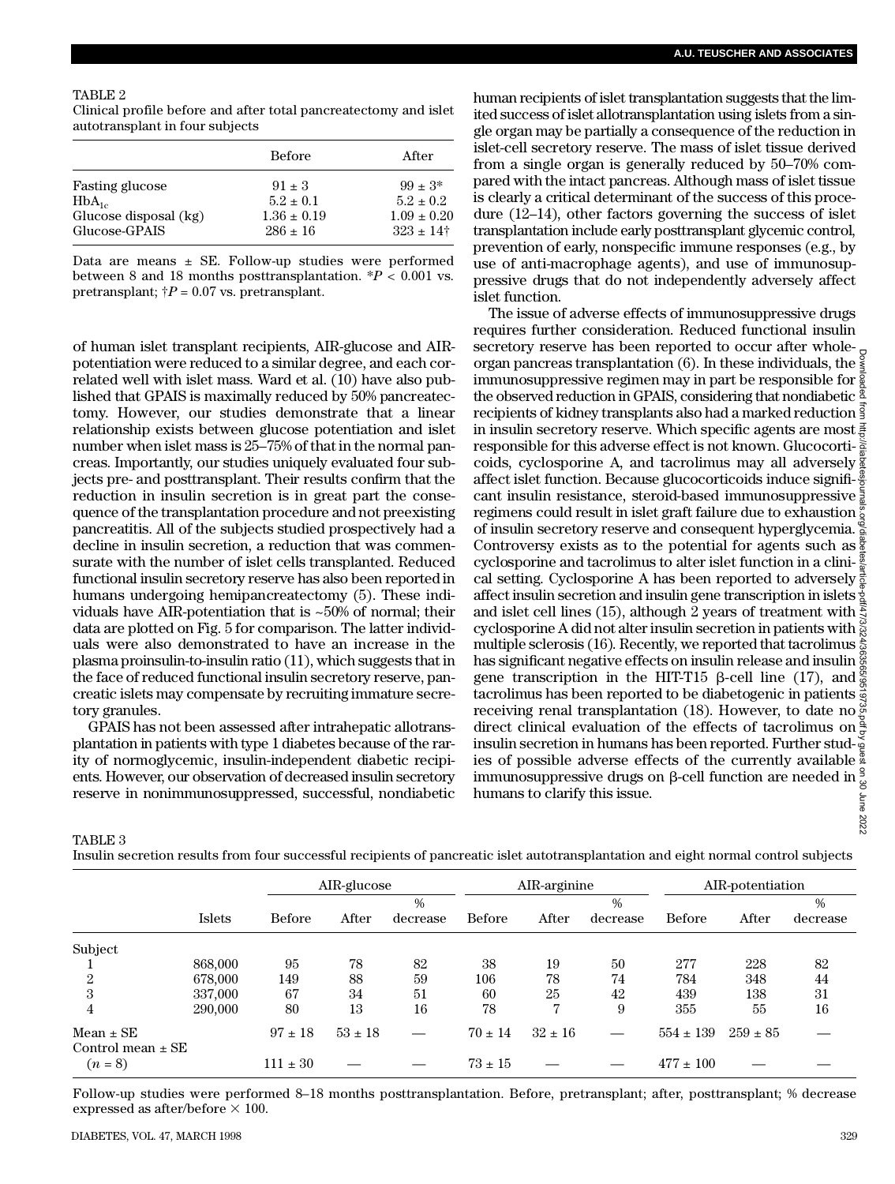#### TABLE 2

Clinical profile before and after total pancreatectomy and islet autotransplant in four subjects

|                                        | <b>Before</b>                   | After                                     |  |  |
|----------------------------------------|---------------------------------|-------------------------------------------|--|--|
| <b>Fasting glucose</b>                 | $91 \pm 3$                      | $.99 \pm .3*$                             |  |  |
| $HbA_{1c}$                             | $5.2 \pm 0.1$                   | $5.2 \pm 0.2$                             |  |  |
| Glucose disposal (kg)<br>Glucose-GPAIS | $1.36 \pm 0.19$<br>$286 \pm 16$ | $1.09 \pm 0.20$<br>$323 \pm 14^{\dagger}$ |  |  |

Data are means  $\pm$  SE. Follow-up studies were performed between 8 and 18 months posttransplantation.  $*P < 0.001$  vs. pretransplant;  $\dot{\uparrow}P = 0.07$  vs. pretransplant.

of human islet transplant recipients, AIR-glucose and AIRpotentiation were reduced to a similar degree, and each correlated well with islet mass. Ward et al. (10) have also published that GPAIS is maximally reduced by 50% pancreatectomy. However, our studies demonstrate that a linear relationship exists between glucose potentiation and islet number when islet mass is 25–75% of that in the normal pancreas. Importantly, our studies uniquely evaluated four subjects pre- and posttransplant. Their results confirm that the reduction in insulin secretion is in great part the consequence of the transplantation procedure and not preexisting pancreatitis. All of the subjects studied prospectively had a decline in insulin secretion, a reduction that was commensurate with the number of islet cells transplanted. Reduced functional insulin secretory reserve has also been reported in humans undergoing hemipancreatectomy (5). These individuals have AIR-potentiation that is ~50% of normal; their data are plotted on Fig. 5 for comparison. The latter individuals were also demonstrated to have an increase in the plasma proinsulin-to-insulin ratio (11), which suggests that in the face of reduced functional insulin secretory reserve, pancreatic islets may compensate by recruiting immature secretory granules.

G PAIS has not been assessed after intrahepatic allotransplantation in patients with type 1 diabetes because of the rarity of normoglycemic, insulin-independent diabetic recipients. However, our observation of decreased insulin secretory reserve in nonimmunosuppressed, successful, nondiabetic human recipients of islet transplantation suggests that the limited success of islet allotransplantation using islets from a single organ may be partially a consequence of the reduction in islet-cell secretory reserve. The mass of islet tissue derived from a single organ is generally reduced by 50–70% compared with the intact pancreas. Although mass of islet tissue is clearly a critical determinant of the success of this procedure (12–14), other factors governing the success of islet transplantation include early posttransplant glycemic control, prevention of early, nonspecific immune responses (e.g., by use of anti-macrophage agents), and use of immunosuppressive drugs that do not independently adversely affect islet function.

The issue of adverse effects of immunosuppressive drugs requires further consideration. Reduced functional insulin secretory reserve has been reported to occur after whole-Downloaded from http://diabetesjournals.org/diabetes/article-pdf/47/3/324/363565/9519735.pdf by guest on 30 June 2022organ pancreas transplantation (6). In these individuals, the immunosuppressive regimen may in part be responsible for  $\frac{2}{8}$ the observed reduction in GPAIS, considering that nondiabetic recipients of kidney transplants also had a marked reduction  $\frac{3}{5}$ in insulin secretory reserve. Which specific agents are most  $\frac{3}{6}$ responsible for this adverse effect is not known. Glucocorti- $\ddot{\tilde{\sigma}}$ coids, cyclosporine A, and tacrolimus may all adversely affect islet function. Because glucocorticoids induce significant insulin resistance, steroid-based immunosuppressive regimens could result in islet graft failure due to exhaustion of insulin secretory reserve and consequent hyperglycemia. Controversy exists as to the potential for agents such as  $\frac{8}{9}$ cyclosporine and tacrolimus to alter islet function in a clinical setting. Cyclosporine A has been reported to adversely  $\frac{3}{2}$ affect insulin secretion and insulin gene transcription in islets  $\frac{1}{2}$ and islet cell lines (15), although 2 years of treatment with  $\frac{5}{2}$ cyclosporine A did not alter insulin secretion in patients with multiple sclerosis (16). Recently, we reported that tacrolimus  $\frac{8}{60}$ has significant negative effects on insulin release and insulin  $\frac{8}{9}$ gene transcription in the HIT-T15  $\beta$ -cell line (17), and  $\frac{6}{9}$ tacrolimus has been reported to be diabetogenic in patients  $\frac{1}{3}$ receiving renal transplantation (18). However, to date no  $\frac{6}{3}$ <br>receiving renal transplantation (18). However, to date no  $\frac{6}{3}$ direct clinical evaluation of the effects of tacrolimus on  $\frac{8}{5}$ insulin secretion in humans has been reported. Further studies of possible adverse effects of the currently available immunosuppressive drugs on β-cell function are needed in humans to clarify this issue. June 2022

TABLE 3

Insulin secretion results from four successful recipients of pancreatic islet autotransplantation and eight normal control subjects

|                                        |               |              | AIR-glucose |               | AIR-arginine  |             |          | AIR-potentiation |              |          |
|----------------------------------------|---------------|--------------|-------------|---------------|---------------|-------------|----------|------------------|--------------|----------|
|                                        |               |              |             | $\frac{0}{0}$ |               |             | $\%$     |                  |              | %        |
|                                        | <b>Islets</b> | Before       | After       | decrease      | <b>Before</b> | After       | decrease | <b>Before</b>    | After        | decrease |
| Subject                                |               |              |             |               |               |             |          |                  |              |          |
|                                        | 868,000       | 95           | 78          | 82            | 38            | 19          | 50       | 277              | 228          | 82       |
| 2                                      | 678,000       | 149          | 88          | 59            | 106           | 78          | 74       | 784              | 348          | 44       |
| 3                                      | 337,000       | 67           | 34          | 51            | 60            | 25          | 42       | 439              | 138          | 31       |
| 4                                      | 290,000       | 80           | 13          | 16            | 78            | 7           | 9        | 355              | 55           | 16       |
| $Mean \pm SE$<br>Control mean $\pm$ SE |               | $97 \pm 18$  | $53 \pm 18$ |               | $70 \pm 14$   | $32 \pm 16$ |          | $554 \pm 139$    | $259 \pm 85$ |          |
| $(n = 8)$                              |               | $111 \pm 30$ |             |               | $73 \pm 15$   |             |          | $477 \pm 100$    |              |          |

Follow-up studies were performed 8–18 months posttransplantation. Before, pretransplant; after, posttransplant; % decrease expressed as after/before  $\times$  100.